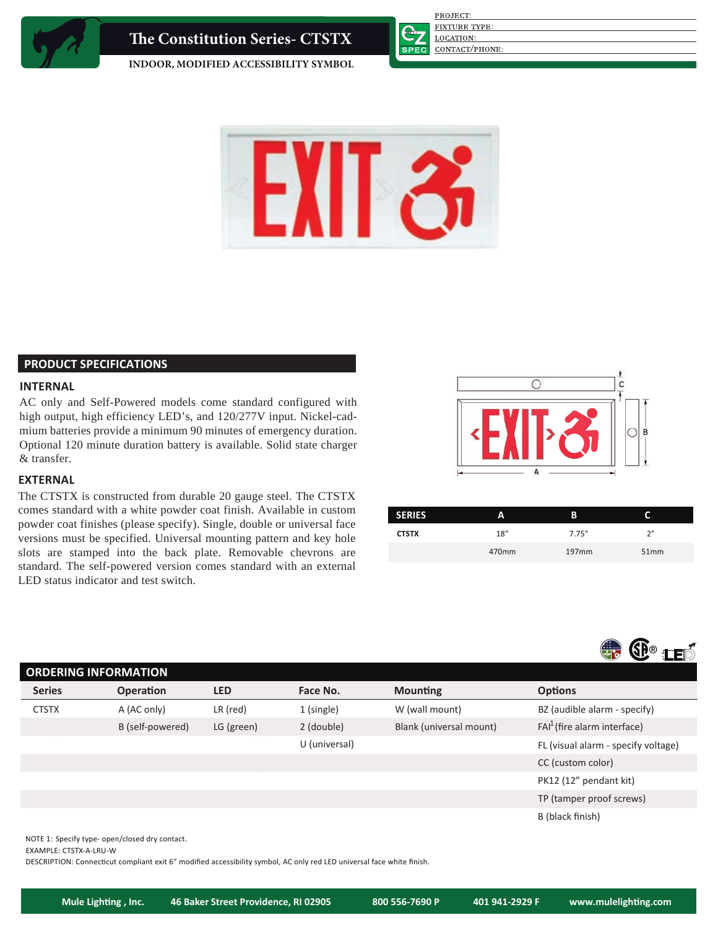

**e Constitution Series- CTSTX**

**FIXTURE TYPE:** 

PROJECT:

LOCATION:

CONTACT/PHONE:

**INDOOR, MODIFIED ACCESSIBILITY SYMBOL**



# **PRODUCT SPECIFICATIONS**

# **INTERNAL**

AC only and Self-Powered models come standard configured with high output, high efficiency LED's, and 120/277V input. Nickel-cadmium batteries provide a minimum 90 minutes of emergency duration. Optional 120 minute duration battery is available. Solid state charger & transfer.

# **EXTERNAL**

The CTSTX is constructed from durable 20 gauge steel. The CTSTX comes standard with a white powder coat finish. Available in custom powder coat finishes (please specify). Single, double or universal face versions must be specified. Universal mounting pattern and key hole slots are stamped into the back plate. Removable chevrons are standard. The self-powered version comes standard with an external LED status indicator and test switch.



| <b>SERIES</b> | Α     | В                 |      |
|---------------|-------|-------------------|------|
| <b>CTSTX</b>  | 18"   | 7.75"             | יי כ |
|               | 470mm | 197 <sub>mm</sub> | 51mm |



| <b>ORDERING INFORMATION</b> |               |                  |            |               |                         |                                     |  |  |
|-----------------------------|---------------|------------------|------------|---------------|-------------------------|-------------------------------------|--|--|
|                             | <b>Series</b> | <b>Operation</b> | <b>LED</b> | Face No.      | <b>Mounting</b>         | <b>Options</b>                      |  |  |
|                             | <b>CTSTX</b>  | A (AC only)      | $LR$ (red) | 1 (single)    | W (wall mount)          | BZ (audible alarm - specify)        |  |  |
|                             |               | B (self-powered) | LG (green) | 2 (double)    | Blank (universal mount) | $FAI1$ (fire alarm interface)       |  |  |
|                             |               |                  |            | U (universal) |                         | FL (visual alarm - specify voltage) |  |  |
|                             |               |                  |            |               |                         | CC (custom color)                   |  |  |
|                             |               |                  |            |               |                         | PK12 (12" pendant kit)              |  |  |
|                             |               |                  |            |               |                         | TP (tamper proof screws)            |  |  |
|                             |               |                  |            |               |                         | B (black finish)                    |  |  |
|                             |               |                  |            |               |                         |                                     |  |  |

NOTE 1: Specify type- open/closed dry contact.

EXAMPLE: CTSTX-A-LRU-W

DESCRIPTION: Connecticut compliant exit 6" modified accessibility symbol, AC only red LED universal face white finish.